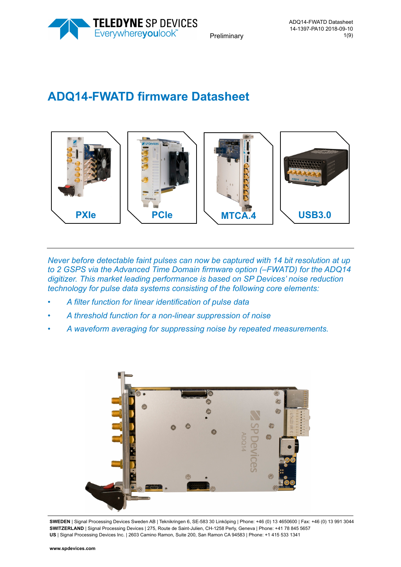

# **ADQ14-FWATD firmware Datasheet**



*Never before detectable faint pulses can now be captured with 14 bit resolution at up to 2 GSPS via the Advanced Time Domain firmware option (–FWATD) for the ADQ14 digitizer. This market leading performance is based on SP Devices' noise reduction technology for pulse data systems consisting of the following core elements:* 

- *A filter function for linear identification of pulse data*
- *A threshold function for a non-linear suppression of noise*
- *A waveform averaging for suppressing noise by repeated measurements.*



**SWEDEN** | Signal Processing Devices Sweden AB | Teknikringen 6, SE-583 30 Linköping | Phone: +46 (0) 13 4650600 | Fax: +46 (0) 13 991 3044 **SWITZERLAND** | Signal Processing Devices | 275, Route de Saint-Julien, CH-1258 Perly, Geneva | Phone: +41 78 845 5657 **US** | Signal Processing Devices Inc. | 2603 Camino Ramon, Suite 200, San Ramon CA 94583 | Phone: +1 415 533 1341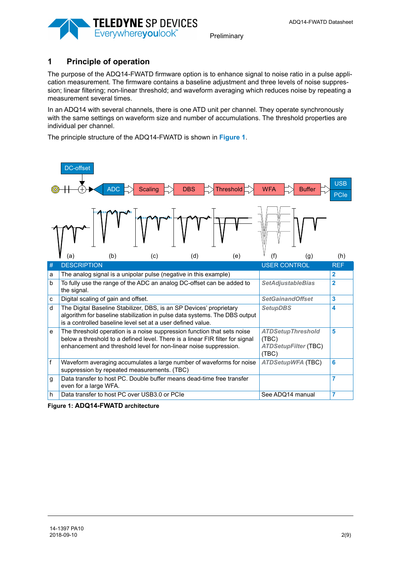

# **1 Principle of operation**

The purpose of the ADQ14-FWATD firmware option is to enhance signal to noise ratio in a pulse application measurement. The firmware contains a baseline adjustment and three levels of noise suppression; linear filtering; non-linear threshold; and waveform averaging which reduces noise by repeating a measurement several times.

In an ADQ14 with several channels, there is one ATD unit per channel. They operate synchronously with the same settings on waveform size and number of accumulations. The threshold properties are individual per channel.

The principle structure of the ADQ14-FWATD is shown in **[Figure 1](#page-1-0)**.



<span id="page-1-0"></span>**Figure 1: ADQ14-FWATD architecture**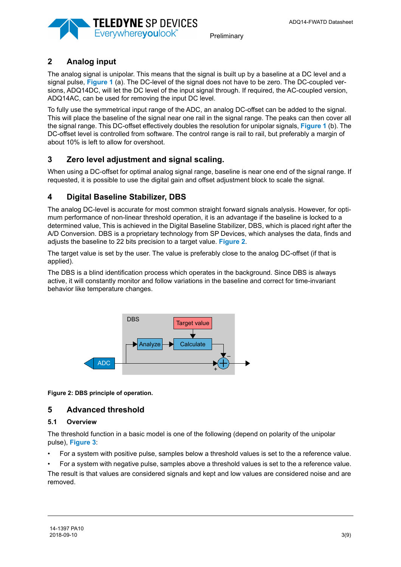

# <span id="page-2-0"></span>**2 Analog input**

The analog signal is unipolar. This means that the signal is built up by a baseline at a DC level and a signal pulse, **[Figure 1](#page-1-0)** (a). The DC-level of the signal does not have to be zero. The DC-coupled versions, ADQ14DC, will let the DC level of the input signal through. If required, the AC-coupled version, ADQ14AC, can be used for removing the input DC level.

To fully use the symmetrical input range of the ADC, an analog DC-offset can be added to the signal. This will place the baseline of the signal near one rail in the signal range. The peaks can then cover all the signal range. This DC-offset effectively doubles the resolution for unipolar signals, **[Figure 1](#page-1-0)** (b). The DC-offset level is controlled from software. The control range is rail to rail, but preferably a margin of about 10% is left to allow for overshoot.

# <span id="page-2-1"></span>**3 Zero level adjustment and signal scaling.**

When using a DC-offset for optimal analog signal range, baseline is near one end of the signal range. If requested, it is possible to use the digital gain and offset adjustment block to scale the signal.

# <span id="page-2-3"></span>**4 Digital Baseline Stabilizer, DBS**

The analog DC-level is accurate for most common straight forward signals analysis. However, for optimum performance of non-linear threshold operation, it is an advantage if the baseline is locked to a determined value, This is achieved in the Digital Baseline Stabilizer, DBS, which is placed right after the A/D Conversion. DBS is a proprietary technology from SP Devices, which analyses the data, finds and adjusts the baseline to 22 bits precision to a target value. **[Figure 2](#page-2-4)**.

The target value is set by the user. The value is preferably close to the analog DC-offset (if that is applied).

The DBS is a blind identification process which operates in the background. Since DBS is always active, it will constantly monitor and follow variations in the baseline and correct for time-invariant behavior like temperature changes.



<span id="page-2-4"></span>**Figure 2: DBS principle of operation.** 

## <span id="page-2-2"></span>**5 Advanced threshold**

## **5.1 Overview**

The threshold function in a basic model is one of the following (depend on polarity of the unipolar pulse), **[Figure 3](#page-3-0)**:

- For a system with positive pulse, samples below a threshold values is set to the a reference value.
- For a system with negative pulse, samples above a threshold values is set to the a reference value.

The result is that values are considered signals and kept and low values are considered noise and are removed.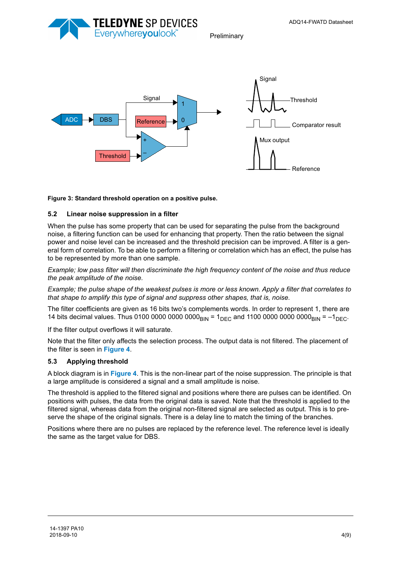



#### <span id="page-3-0"></span>**Figure 3: Standard threshold operation on a positive pulse.**

#### **5.2 Linear noise suppression in a filter**

When the pulse has some property that can be used for separating the pulse from the background noise, a filtering function can be used for enhancing that property. Then the ratio between the signal power and noise level can be increased and the threshold precision can be improved. A filter is a general form of correlation. To be able to perform a filtering or correlation which has an effect, the pulse has to be represented by more than one sample.

*Example; low pass filter will then discriminate the high frequency content of the noise and thus reduce the peak amplitude of the noise.* 

*Example; the pulse shape of the weakest pulses is more or less known. Apply a filter that correlates to that shape to amplify this type of signal and suppress other shapes, that is, noise.* 

The filter coefficients are given as 16 bits two's complements words. In order to represent 1, there are 14 bits decimal values. Thus 0100 0000 0000 0000<sub>BIN</sub> =  $1_{\text{DEC}}$  and 1100 0000 0000 0000<sub>BIN</sub> =  $-1_{\text{DEC}}$ .

If the filter output overflows it will saturate.

Note that the filter only affects the selection process. The output data is not filtered. The placement of the filter is seen in **[Figure 4](#page-4-1)**.

#### **5.3 Applying threshold**

A block diagram is in **[Figure 4](#page-4-1)**. This is the non-linear part of the noise suppression. The principle is that a large amplitude is considered a signal and a small amplitude is noise.

The threshold is applied to the filtered signal and positions where there are pulses can be identified. On positions with pulses, the data from the original data is saved. Note that the threshold is applied to the filtered signal, whereas data from the original non-filtered signal are selected as output. This is to preserve the shape of the original signals. There is a delay line to match the timing of the branches.

Positions where there are no pulses are replaced by the reference level. The reference level is ideally the same as the target value for DBS.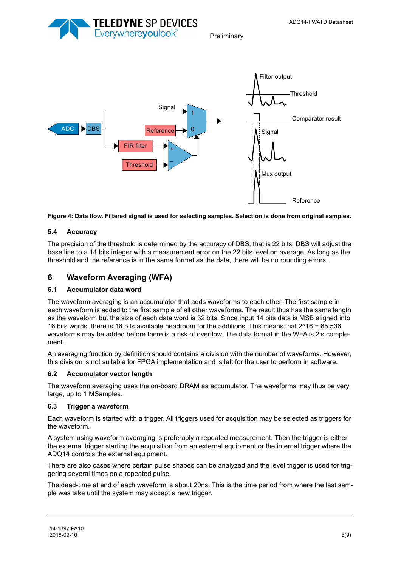





<span id="page-4-1"></span>**Figure 4: Data flow. Filtered signal is used for selecting samples. Selection is done from original samples.** 

## **5.4 Accuracy**

The precision of the threshold is determined by the accuracy of DBS, that is 22 bits. DBS will adjust the base line to a 14 bits integer with a measurement error on the 22 bits level on average. As long as the threshold and the reference is in the same format as the data, there will be no rounding errors.

# <span id="page-4-0"></span>**6 Waveform Averaging (WFA)**

## **6.1 Accumulator data word**

The waveform averaging is an accumulator that adds waveforms to each other. The first sample in each waveform is added to the first sample of all other waveforms. The result thus has the same length as the waveform but the size of each data word is 32 bits. Since input 14 bits data is MSB aligned into 16 bits words, there is 16 bits available headroom for the additions. This means that 2^16 = 65 536 waveforms may be added before there is a risk of overflow. The data format in the WFA is 2's complement.

An averaging function by definition should contains a division with the number of waveforms. However, this division is not suitable for FPGA implementation and is left for the user to perform in software.

## **6.2 Accumulator vector length**

The waveform averaging uses the on-board DRAM as accumulator. The waveforms may thus be very large, up to 1 MSamples.

## **6.3 Trigger a waveform**

Each waveform is started with a trigger. All triggers used for acquisition may be selected as triggers for the waveform.

A system using waveform averaging is preferably a repeated measurement. Then the trigger is either the external trigger starting the acquisition from an external equipment or the internal trigger where the ADQ14 controls the external equipment.

There are also cases where certain pulse shapes can be analyzed and the level trigger is used for triggering several times on a repeated pulse.

The dead-time at end of each waveform is about 20ns. This is the time period from where the last sample was take until the system may accept a new trigger.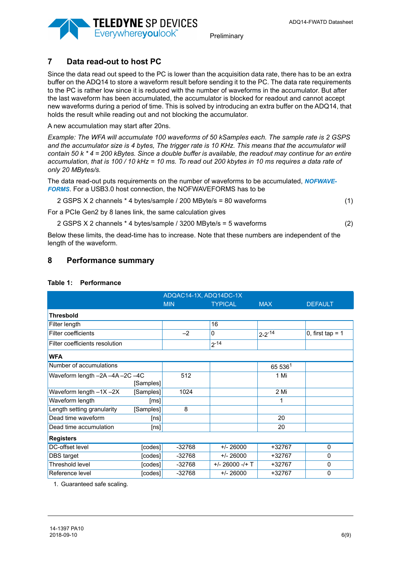

## <span id="page-5-0"></span>**7 Data read-out to host PC**

Since the data read out speed to the PC is lower than the acquisition data rate, there has to be an extra buffer on the ADQ14 to store a waveform result before sending it to the PC. The data rate requirements to the PC is rather low since it is reduced with the number of waveforms in the accumulator. But after the last waveform has been accumulated, the accumulator is blocked for readout and cannot accept new waveforms during a period of time. This is solved by introducing an extra buffer on the ADQ14, that holds the result while reading out and not blocking the accumulator.

A new accumulation may start after 20ns.

*Example: The WFA will accumulate 100 waveforms of 50 kSamples each. The sample rate is 2 GSPS*  and the accumulator size is 4 bytes. The trigger rate is 10 KHz. This means that the accumulator will *contain 50 k \* 4 = 200 kBytes. Since a double buffer is available, the readout may continue for an entire accumulation, that is 100 / 10 kHz = 10 ms. To read out 200 kbytes in 10 ms requires a data rate of only 20 MBytes/s.*

The data read-out puts requirements on the number of waveforms to be accumulated, *NOFWAVE-FORMS*. For a USB3.0 host connection, the NOFWAVEFORMS has to be

| 2 GSPS X 2 channels * 4 bytes/sample / 200 MByte/s = 80 waveforms |  |  |  |
|-------------------------------------------------------------------|--|--|--|
|-------------------------------------------------------------------|--|--|--|

For a PCIe Gen2 by 8 lanes link, the same calculation gives

2 GSPS X 2 channels \* 4 bytes/sample / 3200 MByte/s = 5 waveforms (2)

Below these limits, the dead-time has to increase. Note that these numbers are independent of the length of the waveform.

## **8 Performance summary**

| ADQAC14-1X, ADQ14DC-1X         |           |            |                   |              |                    |  |
|--------------------------------|-----------|------------|-------------------|--------------|--------------------|--|
|                                |           | <b>MIN</b> | <b>TYPICAL</b>    | <b>MAX</b>   | <b>DEFAULT</b>     |  |
| <b>Thresbold</b>               |           |            |                   |              |                    |  |
| Filter length                  |           |            | 16                |              |                    |  |
| <b>Filter coefficients</b>     |           | $-2$       | 0                 | $2 - 2 - 14$ | 0, first tap = $1$ |  |
| Filter coefficients resolution |           |            | $2^{-14}$         |              |                    |  |
| <b>WFA</b>                     |           |            |                   |              |                    |  |
| Number of accumulations        |           |            |                   | 65 5361      |                    |  |
| Waveform length -2A-4A-2C-4C   |           | 512        |                   | 1 Mi         |                    |  |
|                                | [Samples] |            |                   |              |                    |  |
| Waveform length $-1X - 2X$     | [Samples] | 1024       |                   | 2 Mi         |                    |  |
| Waveform length                | [ms]      |            |                   |              |                    |  |
| Length setting granularity     | [Samples] | 8          |                   |              |                    |  |
| Dead time waveform             | [ns]      |            |                   | 20           |                    |  |
| Dead time accumulation         | [ns]      |            |                   | 20           |                    |  |
| <b>Registers</b>               |           |            |                   |              |                    |  |
| DC-offset level                | [codes]   | $-32768$   | $+/- 26000$       | +32767       | $\Omega$           |  |
| DBS target                     | [codes]   | -32768     | $+/- 26000$       | +32767       | $\Omega$           |  |
| Threshold level                | [codes]   | -32768     | $+/- 26000 -/+ T$ | +32767       | $\Omega$           |  |
| Reference level                | [codes]   | $-32768$   | $+/- 26000$       | +32767       | $\Omega$           |  |

## **Table 1: Performance**

1. Guaranteed safe scaling.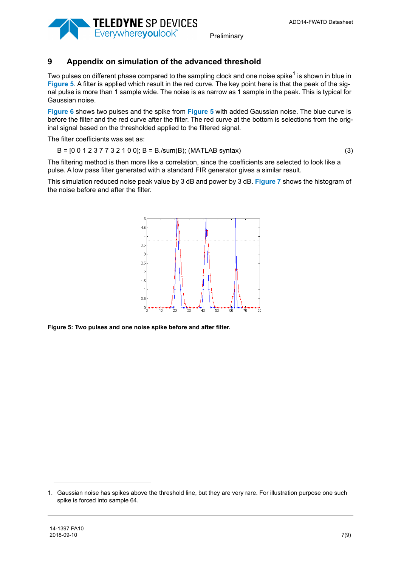



# **9 Appendix on simulation of the advanced threshold**

Two pulses on different phase compared to the sampling clock and one noise spike<sup>1</sup> is shown in blue in **[Figure 5](#page-6-0)**. A filter is applied which result in the red curve. The key point here is that the peak of the signal pulse is more than 1 sample wide. The noise is as narrow as 1 sample in the peak. This is typical for Gaussian noise.

**[Figure 6](#page-7-0)** shows two pulses and the spike from **[Figure 5](#page-6-0)** with added Gaussian noise. The blue curve is before the filter and the red curve after the filter. The red curve at the bottom is selections from the original signal based on the thresholded applied to the filtered signal.

The filter coefficients was set as:

$$
B = [0 \ 0 \ 1 \ 2 \ 3 \ 7 \ 7 \ 3 \ 2 \ 1 \ 0 \ 0]; \ B = B \ . \text{(sum(B); (MATLAB syntax)}
$$
 (3)

The filtering method is then more like a correlation, since the coefficients are selected to look like a pulse. A low pass filter generated with a standard FIR generator gives a similar result.

This simulation reduced noise peak value by 3 dB and power by 3 dB. **[Figure 7](#page-7-1)** shows the histogram of the noise before and after the filter.



<span id="page-6-0"></span>**Figure 5: Two pulses and one noise spike before and after filter.**

<sup>1.</sup> Gaussian noise has spikes above the threshold line, but they are very rare. For illustration purpose one such spike is forced into sample 64.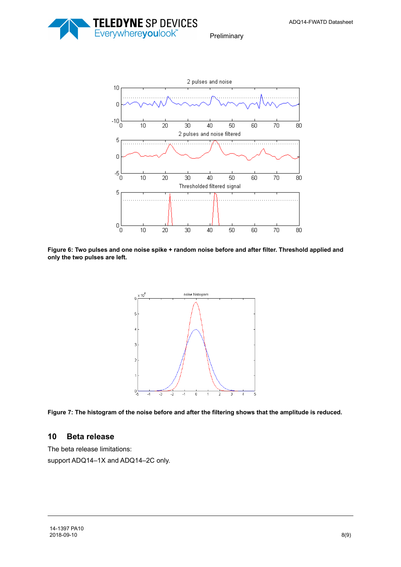ADQ14-FWATD Datasheet



Preliminary



<span id="page-7-0"></span>**Figure 6: Two pulses and one noise spike + random noise before and after filter. Threshold applied and only the two pulses are left.** 



<span id="page-7-1"></span>

## **10 Beta release**

The beta release limitations:

support ADQ14–1X and ADQ14–2C only.